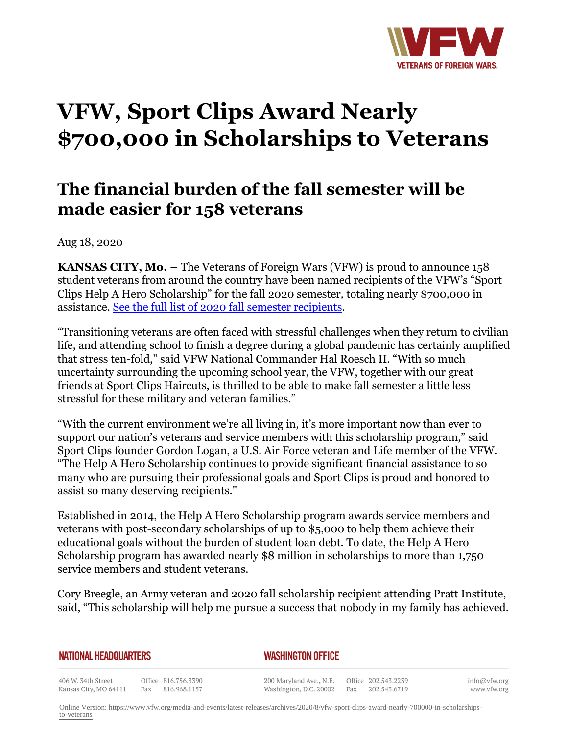

## **VFW, Sport Clips Award Nearly \$700,000 in Scholarships to Veterans**

## **The financial burden of the fall semester will be made easier for 158 veterans**

Aug 18, 2020

**KANSAS CITY, Mo. –** The Veterans of Foreign Wars (VFW) is proud to announce 158 student veterans from around the country have been named recipients of the VFW's "Sport Clips Help A Hero Scholarship" for the fall 2020 semester, totaling nearly \$700,000 in assistance. [See the full list of 2020 fall semester recipients.](http://vfworg-cdn.azureedge.net/-/media/VFWSite/Files/Media-and-Events/Articles/2020/2020FallHAHScholarshipRecipients.pdf?v=1&d=20200807T175251Z&la=en)

"Transitioning veterans are often faced with stressful challenges when they return to civilian life, and attending school to finish a degree during a global pandemic has certainly amplified that stress ten-fold," said VFW National Commander Hal Roesch II. "With so much uncertainty surrounding the upcoming school year, the VFW, together with our great friends at Sport Clips Haircuts, is thrilled to be able to make fall semester a little less stressful for these military and veteran families."

"With the current environment we're all living in, it's more important now than ever to support our nation's veterans and service members with this scholarship program," said Sport Clips founder Gordon Logan, a U.S. Air Force veteran and Life member of the VFW. "The Help A Hero Scholarship continues to provide significant financial assistance to so many who are pursuing their professional goals and Sport Clips is proud and honored to assist so many deserving recipients."

Established in 2014, the Help A Hero Scholarship program awards service members and veterans with post-secondary scholarships of up to \$5,000 to help them achieve their educational goals without the burden of student loan debt. To date, the Help A Hero Scholarship program has awarded nearly \$8 million in scholarships to more than 1,750 service members and student veterans.

Cory Breegle, an Army veteran and 2020 fall scholarship recipient attending Pratt Institute, said, "This scholarship will help me pursue a success that nobody in my family has achieved.

| <b>NATIONAL HEADQUARTERS</b> |  |
|------------------------------|--|
|------------------------------|--|

## *WASHINGTON OFFICE*

406 W. 34th Street Office 816.756.3390 Fax 816.968.1157 Kansas City, MO 64111

200 Maryland Ave., N.E. Washington, D.C. 20002

Office 202.543.2239 Fax 202.543.6719 info@vfw.org www.vfw.org

Online Version: [https://www.vfw.org/media-and-events/latest-releases/archives/2020/8/vfw-sport-clips-award-nearly-700000-in-scholarships](https://www.vfw.org/media-and-events/latest-releases/archives/2020/8/vfw-sport-clips-award-nearly-700000-in-scholarships-to-veterans)[to-veterans](https://www.vfw.org/media-and-events/latest-releases/archives/2020/8/vfw-sport-clips-award-nearly-700000-in-scholarships-to-veterans)